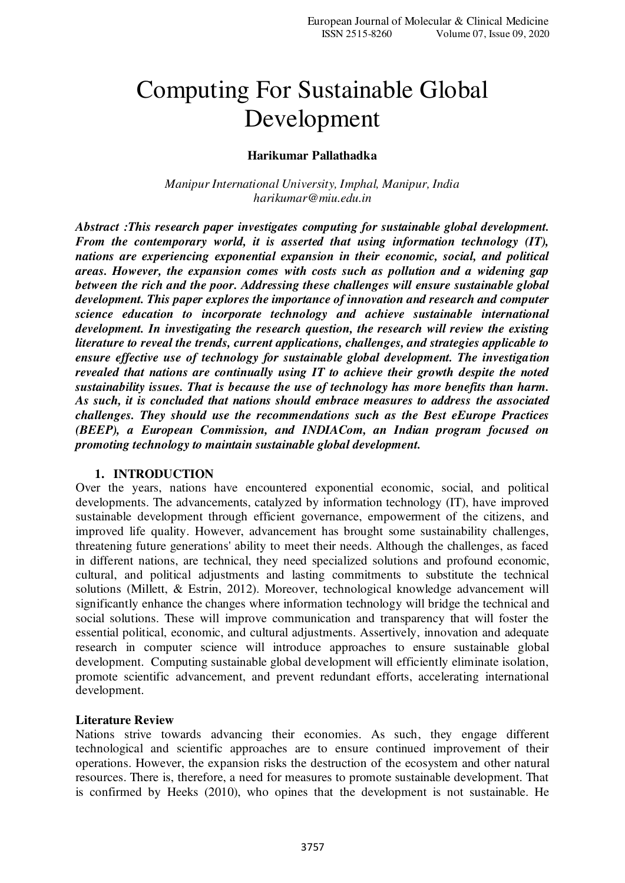# Computing For Sustainable Global Development

### **Harikumar Pallathadka**

*Manipur International University, Imphal, Manipur, India harikumar@miu.edu.in* 

*Abstract :This research paper investigates computing for sustainable global development. From the contemporary world, it is asserted that using information technology (IT), nations are experiencing exponential expansion in their economic, social, and political areas. However, the expansion comes with costs such as pollution and a widening gap between the rich and the poor. Addressing these challenges will ensure sustainable global development. This paper explores the importance of innovation and research and computer science education to incorporate technology and achieve sustainable international development. In investigating the research question, the research will review the existing literature to reveal the trends, current applications, challenges, and strategies applicable to ensure effective use of technology for sustainable global development. The investigation revealed that nations are continually using IT to achieve their growth despite the noted sustainability issues. That is because the use of technology has more benefits than harm. As such, it is concluded that nations should embrace measures to address the associated challenges. They should use the recommendations such as the Best eEurope Practices (BEEP), a European Commission, and INDIACom, an Indian program focused on promoting technology to maintain sustainable global development.*

#### **1. INTRODUCTION**

Over the years, nations have encountered exponential economic, social, and political developments. The advancements, catalyzed by information technology (IT), have improved sustainable development through efficient governance, empowerment of the citizens, and improved life quality. However, advancement has brought some sustainability challenges, threatening future generations' ability to meet their needs. Although the challenges, as faced in different nations, are technical, they need specialized solutions and profound economic, cultural, and political adjustments and lasting commitments to substitute the technical solutions (Millett, & Estrin, 2012). Moreover, technological knowledge advancement will significantly enhance the changes where information technology will bridge the technical and social solutions. These will improve communication and transparency that will foster the essential political, economic, and cultural adjustments. Assertively, innovation and adequate research in computer science will introduce approaches to ensure sustainable global development. Computing sustainable global development will efficiently eliminate isolation, promote scientific advancement, and prevent redundant efforts, accelerating international development.

## **Literature Review**

Nations strive towards advancing their economies. As such, they engage different technological and scientific approaches are to ensure continued improvement of their operations. However, the expansion risks the destruction of the ecosystem and other natural resources. There is, therefore, a need for measures to promote sustainable development. That is confirmed by Heeks (2010), who opines that the development is not sustainable. He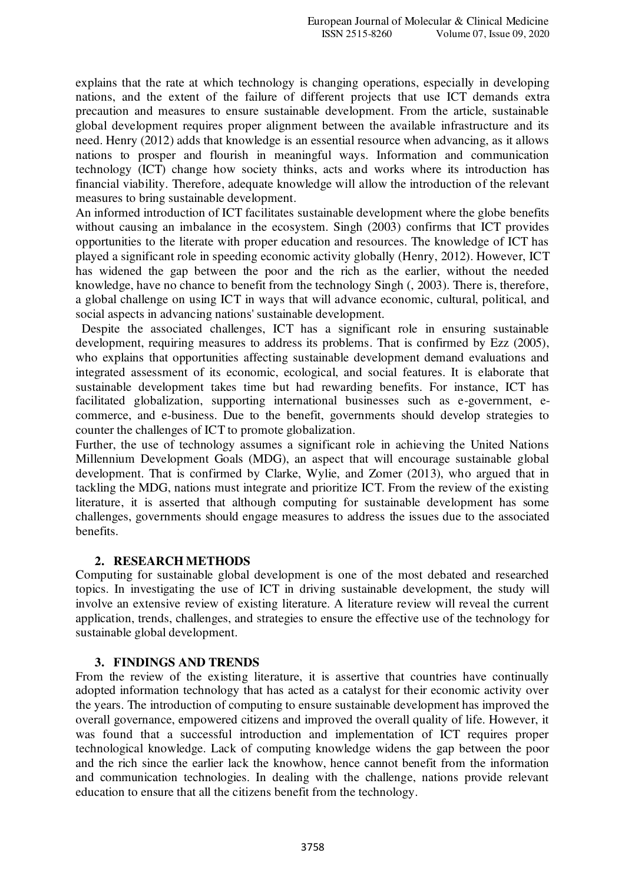explains that the rate at which technology is changing operations, especially in developing nations, and the extent of the failure of different projects that use ICT demands extra precaution and measures to ensure sustainable development. From the article, sustainable global development requires proper alignment between the available infrastructure and its need. Henry (2012) adds that knowledge is an essential resource when advancing, as it allows nations to prosper and flourish in meaningful ways. Information and communication technology (ICT) change how society thinks, acts and works where its introduction has financial viability. Therefore, adequate knowledge will allow the introduction of the relevant measures to bring sustainable development.

An informed introduction of ICT facilitates sustainable development where the globe benefits without causing an imbalance in the ecosystem. Singh (2003) confirms that ICT provides opportunities to the literate with proper education and resources. The knowledge of ICT has played a significant role in speeding economic activity globally (Henry, 2012). However, ICT has widened the gap between the poor and the rich as the earlier, without the needed knowledge, have no chance to benefit from the technology Singh (, 2003). There is, therefore, a global challenge on using ICT in ways that will advance economic, cultural, political, and social aspects in advancing nations' sustainable development.

 Despite the associated challenges, ICT has a significant role in ensuring sustainable development, requiring measures to address its problems. That is confirmed by Ezz (2005), who explains that opportunities affecting sustainable development demand evaluations and integrated assessment of its economic, ecological, and social features. It is elaborate that sustainable development takes time but had rewarding benefits. For instance, ICT has facilitated globalization, supporting international businesses such as e-government, ecommerce, and e-business. Due to the benefit, governments should develop strategies to counter the challenges of ICT to promote globalization.

Further, the use of technology assumes a significant role in achieving the United Nations Millennium Development Goals (MDG), an aspect that will encourage sustainable global development. That is confirmed by Clarke, Wylie, and Zomer (2013), who argued that in tackling the MDG, nations must integrate and prioritize ICT. From the review of the existing literature, it is asserted that although computing for sustainable development has some challenges, governments should engage measures to address the issues due to the associated benefits.

#### **2. RESEARCH METHODS**

Computing for sustainable global development is one of the most debated and researched topics. In investigating the use of ICT in driving sustainable development, the study will involve an extensive review of existing literature. A literature review will reveal the current application, trends, challenges, and strategies to ensure the effective use of the technology for sustainable global development.

#### **3. FINDINGS AND TRENDS**

From the review of the existing literature, it is assertive that countries have continually adopted information technology that has acted as a catalyst for their economic activity over the years. The introduction of computing to ensure sustainable development has improved the overall governance, empowered citizens and improved the overall quality of life. However, it was found that a successful introduction and implementation of ICT requires proper technological knowledge. Lack of computing knowledge widens the gap between the poor and the rich since the earlier lack the knowhow, hence cannot benefit from the information and communication technologies. In dealing with the challenge, nations provide relevant education to ensure that all the citizens benefit from the technology.